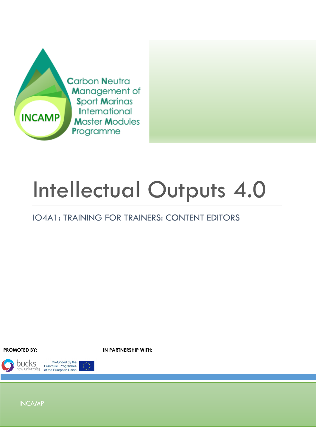

# Intellectual Outputs 4.0

### IO4A1: TRAINING FOR TRAINERS: CONTENT EDITORS

**PROMOTED BY: IN PARTNERSHIP WITH:**



Co-funded by the Erasmus+ Programme<br>of the European Union

INCAMP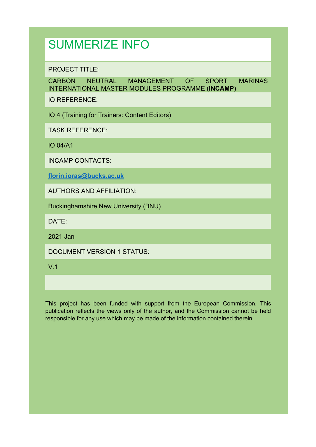## SUMMERIZE INFO

PROJECT TITLE:

CARBON NEUTRAL MANAGEMENT OF SPORT MARINAS INTERNATIONAL MASTER MODULES PROGRAMME (**INCAMP**)

IO REFERENCE:

IO 4 (Training for Trainers: Content Editors)

TASK REFERENCE:

IO 04/A1

INCAMP CONTACTS:

**florin.ioras@bucks.ac.uk**

AUTHORS AND AFFILIATION:

Buckinghamshire New University (BNU)

DATE:

2021 Jan

DOCUMENT VERSION 1 STATUS:

V.1

This project has been funded with support from the European Commission. This publication reflects the views only of the author, and the Commission cannot be held responsible for any use which may be made of the information contained therein.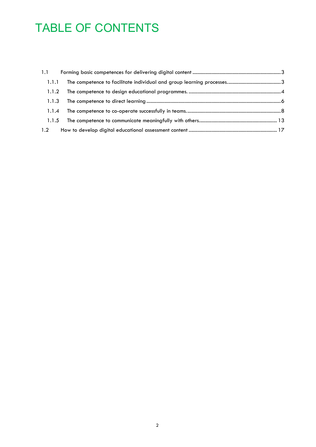# TABLE OF CONTENTS

| 1.1   |  |
|-------|--|
| 1.1.1 |  |
| 1.1.2 |  |
| 1.1.3 |  |
| 1.1.4 |  |
| 1.1.5 |  |
| 1.2   |  |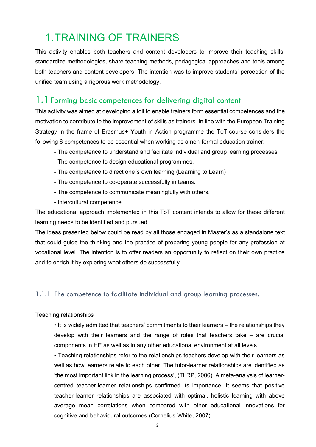## 1.TRAINING OF TRAINERS

This activity enables both teachers and content developers to improve their teaching skills, standardize methodologies, share teaching methods, pedagogical approaches and tools among both teachers and content developers. The intention was to improve students' perception of the unified team using a rigorous work methodology.

#### 1.1Forming basic competences for delivering digital content

This activity was aimed at developing a toll to enable trainers form essential competences and the motivation to contribute to the improvement of skills as trainers. In line with the European Training Strategy in the frame of Erasmus+ Youth in Action programme the ToT-course considers the following 6 competences to be essential when working as a non-formal education trainer:

- The competence to understand and facilitate individual and group learning processes.
- The competence to design educational programmes.
- The competence to direct one´s own learning (Learning to Learn)
- The competence to co-operate successfully in teams.
- The competence to communicate meaningfully with others.
- Intercultural competence.

The educational approach implemented in this ToT content intends to allow for these different learning needs to be identified and pursued.

The ideas presented below could be read by all those engaged in Master's as a standalone text that could guide the thinking and the practice of preparing young people for any profession at vocational level. The intention is to offer readers an opportunity to reflect on their own practice and to enrich it by exploring what others do successfully.

#### 1.1.1 The competence to facilitate individual and group learning processes.

#### Teaching relationships

• It is widely admitted that teachers' commitments to their learners – the relationships they develop with their learners and the range of roles that teachers take – are crucial components in HE as well as in any other educational environment at all levels.

• Teaching relationships refer to the relationships teachers develop with their learners as well as how learners relate to each other. The tutor-learner relationships are identified as 'the most important link in the learning process', (TLRP, 2006). A meta-analysis of learnercentred teacher-learner relationships confirmed its importance. It seems that positive teacher-learner relationships are associated with optimal, holistic learning with above average mean correlations when compared with other educational innovations for cognitive and behavioural outcomes (Cornelius-White, 2007).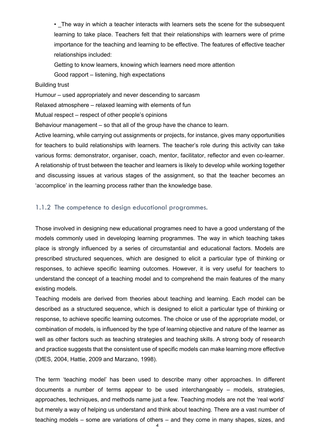• The way in which a teacher interacts with learners sets the scene for the subsequent learning to take place. Teachers felt that their relationships with learners were of prime importance for the teaching and learning to be effective. The features of effective teacher relationships included:

Getting to know learners, knowing which learners need more attention

Good rapport – listening, high expectations

#### Building trust

Humour – used appropriately and never descending to sarcasm

Relaxed atmosphere – relaxed learning with elements of fun

Mutual respect – respect of other people's opinions

Behaviour management – so that all of the group have the chance to learn.

Active learning, while carrying out assignments or projects, for instance, gives many opportunities for teachers to build relationships with learners. The teacher's role during this activity can take various forms: demonstrator, organiser, coach, mentor, facilitator, reflector and even co-learner. A relationship of trust between the teacher and learners is likely to develop while working together and discussing issues at various stages of the assignment, so that the teacher becomes an 'accomplice' in the learning process rather than the knowledge base.

#### 1.1.2 The competence to design educational programmes.

Those involved in designing new educational programes need to have a good understang of the models commonly used in developing learning programmes. The way in which teaching takes place is strongly influenced by a series of circumstantial and educational factors. Models are prescribed structured sequences, which are designed to elicit a particular type of thinking or responses, to achieve specific learning outcomes. However, it is very useful for teachers to understand the concept of a teaching model and to comprehend the main features of the many existing models.

Teaching models are derived from theories about teaching and learning. Each model can be described as a structured sequence, which is designed to elicit a particular type of thinking or response, to achieve specific learning outcomes. The choice or use of the appropriate model, or combination of models, is influenced by the type of learning objective and nature of the learner as well as other factors such as teaching strategies and teaching skills. A strong body of research and practice suggests that the consistent use of specific models can make learning more effective (DfES, 2004, Hattie, 2009 and Marzano, 1998).

The term 'teaching model' has been used to describe many other approaches. In different documents a number of terms appear to be used interchangeably – models, strategies, approaches, techniques, and methods name just a few. Teaching models are not the 'real world' but merely a way of helping us understand and think about teaching. There are a vast number of teaching models – some are variations of others – and they come in many shapes, sizes, and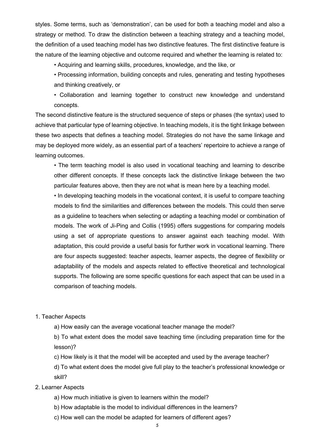styles. Some terms, such as 'demonstration', can be used for both a teaching model and also a strategy or method. To draw the distinction between a teaching strategy and a teaching model, the definition of a used teaching model has two distinctive features. The first distinctive feature is the nature of the learning objective and outcome required and whether the learning is related to:

- Acquiring and learning skills, procedures, knowledge, and the like, or
- Processing information, building concepts and rules, generating and testing hypotheses and thinking creatively, or

• Collaboration and learning together to construct new knowledge and understand concepts.

The second distinctive feature is the structured sequence of steps or phases (the syntax) used to achieve that particular type of learning objective. In teaching models, it is the tight linkage between these two aspects that defines a teaching model. Strategies do not have the same linkage and may be deployed more widely, as an essential part of a teachers' repertoire to achieve a range of learning outcomes.

• The term teaching model is also used in vocational teaching and learning to describe other different concepts. If these concepts lack the distinctive linkage between the two particular features above, then they are not what is mean here by a teaching model.

• In developing teaching models in the vocational context, it is useful to compare teaching models to find the similarities and differences between the models. This could then serve as a guideline to teachers when selecting or adapting a teaching model or combination of models. The work of Ji-Ping and Collis (1995) offers suggestions for comparing models using a set of appropriate questions to answer against each teaching model. With adaptation, this could provide a useful basis for further work in vocational learning. There are four aspects suggested: teacher aspects, learner aspects, the degree of flexibility or adaptability of the models and aspects related to effective theoretical and technological supports. The following are some specific questions for each aspect that can be used in a comparison of teaching models.

#### 1. Teacher Aspects

a) How easily can the average vocational teacher manage the model?

b) To what extent does the model save teaching time (including preparation time for the lesson)?

c) How likely is it that the model will be accepted and used by the average teacher?

d) To what extent does the model give full play to the teacher's professional knowledge or skill?

#### 2. Learner Aspects

- a) How much initiative is given to learners within the model?
- b) How adaptable is the model to individual differences in the learners?
- c) How well can the model be adapted for learners of different ages?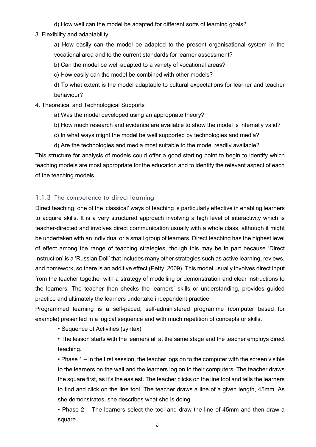d) How well can the model be adapted for different sorts of learning goals?

3. Flexibility and adaptability

a) How easily can the model be adapted to the present organisational system in the vocational area and to the current standards for learner assessment?

b) Can the model be well adapted to a variety of vocational areas?

c) How easily can the model be combined with other models?

d) To what extent is the model adaptable to cultural expectations for learner and teacher behaviour?

#### 4. Theoretical and Technological Supports

- a) Was the model developed using an appropriate theory?
- b) How much research and evidence are available to show the model is internally valid?
- c) In what ways might the model be well supported by technologies and media?
- d) Are the technologies and media most suitable to the model readily available?

This structure for analysis of models could offer a good starting point to begin to identify which teaching models are most appropriate for the education and to identify the relevant aspect of each of the teaching models.

#### 1.1.3 The competence to direct learning

Direct teaching, one of the 'classical' ways of teaching is particularly effective in enabling learners to acquire skills. It is a very structured approach involving a high level of interactivity which is teacher-directed and involves direct communication usually with a whole class, although it might be undertaken with an individual or a small group of learners. Direct teaching has the highest level of effect among the range of teaching strategies, though this may be in part because 'Direct Instruction' is a 'Russian Doll' that includes many other strategies such as active learning, reviews, and homework, so there is an additive effect (Petty, 2009). This model usually involves direct input from the teacher together with a strategy of modelling or demonstration and clear instructions to the learners. The teacher then checks the learners' skills or understanding, provides guided practice and ultimately the learners undertake independent practice.

Programmed learning is a self-paced, self-administered programme (computer based for example) presented in a logical sequence and with much repetition of concepts or skills.

• Sequence of Activities (syntax)

• The lesson starts with the learners all at the same stage and the teacher employs direct teaching.

• Phase 1 – In the first session, the teacher logs on to the computer with the screen visible to the learners on the wall and the learners log on to their computers. The teacher draws the square first, as it's the easiest. The teacher clicks on the line tool and tells the learners to find and click on the line tool. The teacher draws a line of a given length, 45mm. As she demonstrates, she describes what she is doing.

• Phase 2 – The learners select the tool and draw the line of 45mm and then draw a square.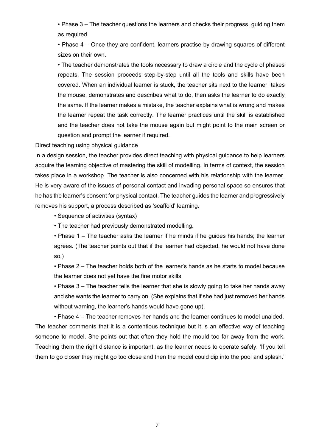• Phase 3 – The teacher questions the learners and checks their progress, guiding them as required.

• Phase 4 – Once they are confident, learners practise by drawing squares of different sizes on their own.

• The teacher demonstrates the tools necessary to draw a circle and the cycle of phases repeats. The session proceeds step-by-step until all the tools and skills have been covered. When an individual learner is stuck, the teacher sits next to the learner, takes the mouse, demonstrates and describes what to do, then asks the learner to do exactly the same. If the learner makes a mistake, the teacher explains what is wrong and makes the learner repeat the task correctly. The learner practices until the skill is established and the teacher does not take the mouse again but might point to the main screen or question and prompt the learner if required.

Direct teaching using physical guidance

In a design session, the teacher provides direct teaching with physical guidance to help learners acquire the learning objective of mastering the skill of modelling. In terms of context, the session takes place in a workshop. The teacher is also concerned with his relationship with the learner. He is very aware of the issues of personal contact and invading personal space so ensures that he has the learner's consent for physical contact. The teacher guides the learner and progressively removes his support, a process described as 'scaffold' learning.

• Sequence of activities (syntax)

• The teacher had previously demonstrated modelling.

• Phase 1 – The teacher asks the learner if he minds if he guides his hands; the learner agrees. (The teacher points out that if the learner had objected, he would not have done so.)

• Phase 2 – The teacher holds both of the learner's hands as he starts to model because the learner does not yet have the fine motor skills.

• Phase 3 – The teacher tells the learner that she is slowly going to take her hands away and she wants the learner to carry on. (She explains that if she had just removed her hands without warning, the learner's hands would have gone up).

• Phase 4 – The teacher removes her hands and the learner continues to model unaided. The teacher comments that it is a contentious technique but it is an effective way of teaching someone to model. She points out that often they hold the mould too far away from the work. Teaching them the right distance is important, as the learner needs to operate safely. 'If you tell them to go closer they might go too close and then the model could dip into the pool and splash.'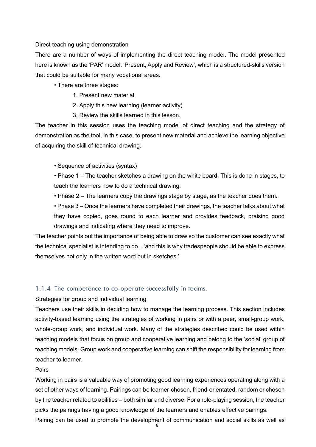#### Direct teaching using demonstration

There are a number of ways of implementing the direct teaching model. The model presented here is known as the 'PAR' model: 'Present, Apply and Review', which is a structured-skills version that could be suitable for many vocational areas.

- There are three stages:
	- 1. Present new material
	- 2. Apply this new learning (learner activity)
	- 3. Review the skills learned in this lesson.

The teacher in this session uses the teaching model of direct teaching and the strategy of demonstration as the tool, in this case, to present new material and achieve the learning objective of acquiring the skill of technical drawing.

- Sequence of activities (syntax)
- Phase 1 The teacher sketches a drawing on the white board. This is done in stages, to teach the learners how to do a technical drawing.
- Phase 2 The learners copy the drawings stage by stage, as the teacher does them.

• Phase 3 – Once the learners have completed their drawings, the teacher talks about what they have copied, goes round to each learner and provides feedback, praising good drawings and indicating where they need to improve.

The teacher points out the importance of being able to draw so the customer can see exactly what the technical specialist is intending to do…'and this is why tradespeople should be able to express themselves not only in the written word but in sketches.'

#### 1.1.4 The competence to co-operate successfully in teams.

Strategies for group and individual learning

Teachers use their skills in deciding how to manage the learning process. This section includes activity-based learning using the strategies of working in pairs or with a peer, small-group work, whole-group work, and individual work. Many of the strategies described could be used within teaching models that focus on group and cooperative learning and belong to the 'social' group of teaching models. Group work and cooperative learning can shift the responsibility for learning from teacher to learner.

#### Pairs

Working in pairs is a valuable way of promoting good learning experiences operating along with a set of other ways of learning. Pairings can be learner-chosen, friend-orientated, random or chosen by the teacher related to abilities – both similar and diverse. For a role-playing session, the teacher picks the pairings having a good knowledge of the learners and enables effective pairings.

Pairing can be used to promote the development of communication and social skills as well as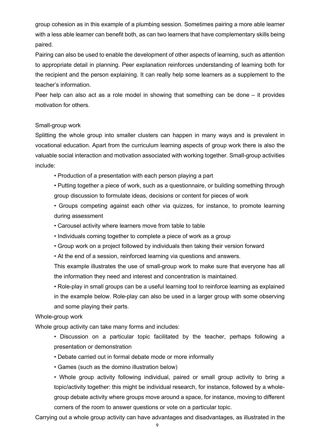group cohesion as in this example of a plumbing session. Sometimes pairing a more able learner with a less able learner can benefit both, as can two learners that have complementary skills being paired.

Pairing can also be used to enable the development of other aspects of learning, such as attention to appropriate detail in planning. Peer explanation reinforces understanding of learning both for the recipient and the person explaining. It can really help some learners as a supplement to the teacher's information.

Peer help can also act as a role model in showing that something can be done – it provides motivation for others.

#### Small-group work

Splitting the whole group into smaller clusters can happen in many ways and is prevalent in vocational education. Apart from the curriculum learning aspects of group work there is also the valuable social interaction and motivation associated with working together. Small-group activities include:

• Production of a presentation with each person playing a part

• Putting together a piece of work, such as a questionnaire, or building something through group discussion to formulate ideas, decisions or content for pieces of work

• Groups competing against each other via quizzes, for instance, to promote learning during assessment

- Carousel activity where learners move from table to table
- Individuals coming together to complete a piece of work as a group
- Group work on a project followed by individuals then taking their version forward
- At the end of a session, reinforced learning via questions and answers.

This example illustrates the use of small-group work to make sure that everyone has all the information they need and interest and concentration is maintained.

• Role-play in small groups can be a useful learning tool to reinforce learning as explained in the example below. Role-play can also be used in a larger group with some observing and some playing their parts.

#### Whole-group work

Whole group activity can take many forms and includes:

• Discussion on a particular topic facilitated by the teacher, perhaps following a presentation or demonstration

- Debate carried out in formal debate mode or more informally
- Games (such as the domino illustration below)

• Whole group activity following individual, paired or small group activity to bring a topic/activity together: this might be individual research, for instance, followed by a wholegroup debate activity where groups move around a space, for instance, moving to different corners of the room to answer questions or vote on a particular topic.

Carrying out a whole group activity can have advantages and disadvantages, as illustrated in the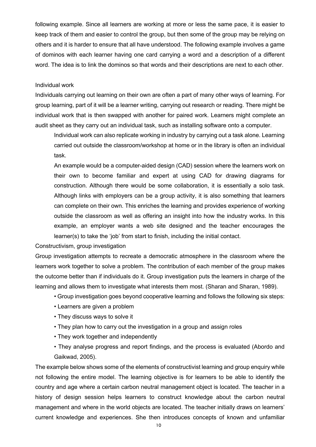following example. Since all learners are working at more or less the same pace, it is easier to keep track of them and easier to control the group, but then some of the group may be relying on others and it is harder to ensure that all have understood. The following example involves a game of dominos with each learner having one card carrying a word and a description of a different word. The idea is to link the dominos so that words and their descriptions are next to each other.

#### Individual work

Individuals carrying out learning on their own are often a part of many other ways of learning. For group learning, part of it will be a learner writing, carrying out research or reading. There might be individual work that is then swapped with another for paired work. Learners might complete an audit sheet as they carry out an individual task, such as installing software onto a computer.

Individual work can also replicate working in industry by carrying out a task alone. Learning carried out outside the classroom/workshop at home or in the library is often an individual task.

An example would be a computer-aided design (CAD) session where the learners work on their own to become familiar and expert at using CAD for drawing diagrams for construction. Although there would be some collaboration, it is essentially a solo task. Although links with employers can be a group activity, it is also something that learners can complete on their own. This enriches the learning and provides experience of working outside the classroom as well as offering an insight into how the industry works. In this example, an employer wants a web site designed and the teacher encourages the learner(s) to take the 'job' from start to finish, including the initial contact.

#### Constructivism, group investigation

Group investigation attempts to recreate a democratic atmosphere in the classroom where the learners work together to solve a problem. The contribution of each member of the group makes the outcome better than if individuals do it. Group investigation puts the learners in charge of the learning and allows them to investigate what interests them most. (Sharan and Sharan, 1989).

- Group investigation goes beyond cooperative learning and follows the following six steps:
- Learners are given a problem
- They discuss ways to solve it
- They plan how to carry out the investigation in a group and assign roles
- They work together and independently
- They analyse progress and report findings, and the process is evaluated (Abordo and Gaikwad, 2005).

The example below shows some of the elements of constructivist learning and group enquiry while not following the entire model. The learning objective is for learners to be able to identify the country and age where a certain carbon neutral management object is located. The teacher in a history of design session helps learners to construct knowledge about the carbon neutral management and where in the world objects are located. The teacher initially draws on learners' current knowledge and experiences. She then introduces concepts of known and unfamiliar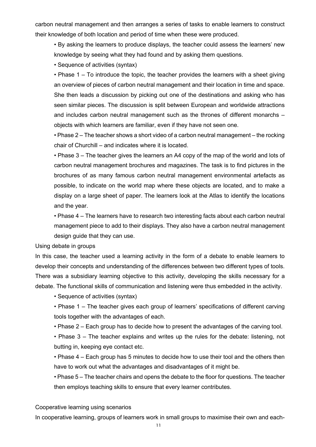carbon neutral management and then arranges a series of tasks to enable learners to construct their knowledge of both location and period of time when these were produced.

• By asking the learners to produce displays, the teacher could assess the learners' new knowledge by seeing what they had found and by asking them questions.

• Sequence of activities (syntax)

• Phase 1 – To introduce the topic, the teacher provides the learners with a sheet giving an overview of pieces of carbon neutral management and their location in time and space. She then leads a discussion by picking out one of the destinations and asking who has seen similar pieces. The discussion is split between European and worldwide attractions and includes carbon neutral management such as the thrones of different monarchs – objects with which learners are familiar, even if they have not seen one.

• Phase 2 – The teacher shows a short video of a carbon neutral management – the rocking chair of Churchill – and indicates where it is located.

• Phase 3 – The teacher gives the learners an A4 copy of the map of the world and lots of carbon neutral management brochures and magazines. The task is to find pictures in the brochures of as many famous carbon neutral management environmental artefacts as possible, to indicate on the world map where these objects are located, and to make a display on a large sheet of paper. The learners look at the Atlas to identify the locations and the year.

• Phase 4 – The learners have to research two interesting facts about each carbon neutral management piece to add to their displays. They also have a carbon neutral management design guide that they can use.

Using debate in groups

In this case, the teacher used a learning activity in the form of a debate to enable learners to develop their concepts and understanding of the differences between two different types of tools. There was a subsidiary learning objective to this activity, developing the skills necessary for a debate. The functional skills of communication and listening were thus embedded in the activity.

• Sequence of activities (syntax)

• Phase 1 – The teacher gives each group of learners' specifications of different carving tools together with the advantages of each.

• Phase 2 – Each group has to decide how to present the advantages of the carving tool.

• Phase 3 – The teacher explains and writes up the rules for the debate: listening, not butting in, keeping eye contact etc.

• Phase 4 – Each group has 5 minutes to decide how to use their tool and the others then have to work out what the advantages and disadvantages of it might be.

• Phase 5 – The teacher chairs and opens the debate to the floor for questions. The teacher then employs teaching skills to ensure that every learner contributes.

#### Cooperative learning using scenarios

In cooperative learning, groups of learners work in small groups to maximise their own and each-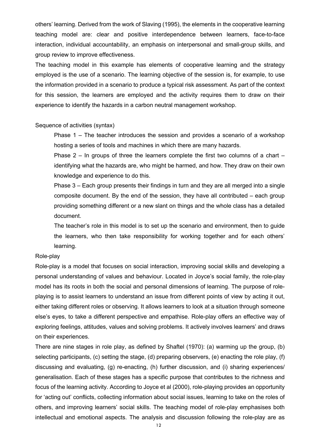others' learning. Derived from the work of Slaving (1995), the elements in the cooperative learning teaching model are: clear and positive interdependence between learners, face-to-face interaction, individual accountability, an emphasis on interpersonal and small-group skills, and group review to improve effectiveness.

The teaching model in this example has elements of cooperative learning and the strategy employed is the use of a scenario. The learning objective of the session is, for example, to use the information provided in a scenario to produce a typical risk assessment. As part of the context for this session, the learners are employed and the activity requires them to draw on their experience to identify the hazards in a carbon neutral management workshop.

#### Sequence of activities (syntax)

Phase 1 – The teacher introduces the session and provides a scenario of a workshop hosting a series of tools and machines in which there are many hazards.

Phase 2 – In groups of three the learners complete the first two columns of a chart – identifying what the hazards are, who might be harmed, and how. They draw on their own knowledge and experience to do this.

Phase 3 – Each group presents their findings in turn and they are all merged into a single composite document. By the end of the session, they have all contributed – each group providing something different or a new slant on things and the whole class has a detailed document.

The teacher's role in this model is to set up the scenario and environment, then to guide the learners, who then take responsibility for working together and for each others' learning.

#### Role-play

Role-play is a model that focuses on social interaction, improving social skills and developing a personal understanding of values and behaviour. Located in Joyce's social family, the role-play model has its roots in both the social and personal dimensions of learning. The purpose of roleplaying is to assist learners to understand an issue from different points of view by acting it out, either taking different roles or observing. It allows learners to look at a situation through someone else's eyes, to take a different perspective and empathise. Role-play offers an effective way of exploring feelings, attitudes, values and solving problems. It actively involves learners' and draws on their experiences.

There are nine stages in role play, as defined by Shaftel (1970): (a) warming up the group, (b) selecting participants, (c) setting the stage, (d) preparing observers, (e) enacting the role play, (f) discussing and evaluating, (g) re-enacting, (h) further discussion, and (i) sharing experiences/ generalisation. Each of these stages has a specific purpose that contributes to the richness and focus of the learning activity. According to Joyce et al (2000), role-playing provides an opportunity for 'acting out' conflicts, collecting information about social issues, learning to take on the roles of others, and improving learners' social skills. The teaching model of role-play emphasises both intellectual and emotional aspects. The analysis and discussion following the role-play are as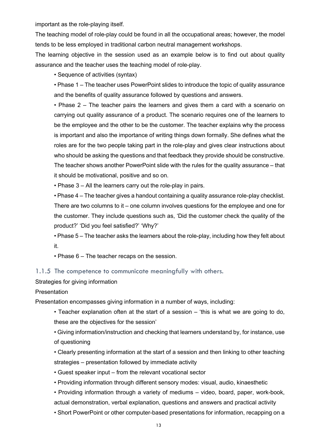important as the role-playing itself.

The teaching model of role-play could be found in all the occupational areas; however, the model tends to be less employed in traditional carbon neutral management workshops.

The learning objective in the session used as an example below is to find out about quality assurance and the teacher uses the teaching model of role-play.

• Sequence of activities (syntax)

• Phase 1 – The teacher uses PowerPoint slides to introduce the topic of quality assurance and the benefits of quality assurance followed by questions and answers.

• Phase 2 – The teacher pairs the learners and gives them a card with a scenario on carrying out quality assurance of a product. The scenario requires one of the learners to be the employee and the other to be the customer. The teacher explains why the process is important and also the importance of writing things down formally. She defines what the roles are for the two people taking part in the role-play and gives clear instructions about who should be asking the questions and that feedback they provide should be constructive. The teacher shows another PowerPoint slide with the rules for the quality assurance – that it should be motivational, positive and so on.

• Phase 3 – All the learners carry out the role-play in pairs.

• Phase 4 – The teacher gives a handout containing a quality assurance role-play checklist. There are two columns to it – one column involves questions for the employee and one for the customer. They include questions such as, 'Did the customer check the quality of the product?' 'Did you feel satisfied?' 'Why?'

• Phase 5 – The teacher asks the learners about the role-play, including how they felt about it.

• Phase 6 – The teacher recaps on the session.

#### 1.1.5 The competence to communicate meaningfully with others.

Strategies for giving information

#### **Presentation**

Presentation encompasses giving information in a number of ways, including:

• Teacher explanation often at the start of a session – 'this is what we are going to do, these are the objectives for the session'

• Giving information/instruction and checking that learners understand by, for instance, use of questioning

- Clearly presenting information at the start of a session and then linking to other teaching strategies – presentation followed by immediate activity
- Guest speaker input from the relevant vocational sector
- Providing information through different sensory modes: visual, audio, kinaesthetic
- Providing information through a variety of mediums video, board, paper, work-book, actual demonstration, verbal explanation, questions and answers and practical activity
- Short PowerPoint or other computer-based presentations for information, recapping on a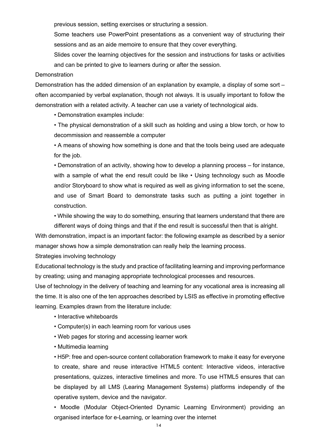previous session, setting exercises or structuring a session.

Some teachers use PowerPoint presentations as a convenient way of structuring their sessions and as an aide memoire to ensure that they cover everything.

Slides cover the learning objectives for the session and instructions for tasks or activities and can be printed to give to learners during or after the session.

#### **Demonstration**

Demonstration has the added dimension of an explanation by example, a display of some sort – often accompanied by verbal explanation, though not always. It is usually important to follow the demonstration with a related activity. A teacher can use a variety of technological aids.

• Demonstration examples include:

• The physical demonstration of a skill such as holding and using a blow torch, or how to decommission and reassemble a computer

• A means of showing how something is done and that the tools being used are adequate for the job.

• Demonstration of an activity, showing how to develop a planning process – for instance, with a sample of what the end result could be like • Using technology such as Moodle and/or Storyboard to show what is required as well as giving information to set the scene, and use of Smart Board to demonstrate tasks such as putting a joint together in construction.

• While showing the way to do something, ensuring that learners understand that there are different ways of doing things and that if the end result is successful then that is alright.

With demonstration, impact is an important factor: the following example as described by a senior manager shows how a simple demonstration can really help the learning process.

Strategies involving technology

Educational technology is the study and practice of facilitating learning and improving performance by creating; using and managing appropriate technological processes and resources.

Use of technology in the delivery of teaching and learning for any vocational area is increasing all the time. It is also one of the ten approaches described by LSIS as effective in promoting effective learning. Examples drawn from the literature include:

- Interactive whiteboards
- Computer(s) in each learning room for various uses
- Web pages for storing and accessing learner work
- Multimedia learning

• H5P: free and open-source content collaboration framework to make it easy for everyone to create, share and reuse interactive HTML5 content: Interactive videos, interactive presentations, quizzes, interactive timelines and more. To use HTML5 ensures that can be displayed by all LMS (Learing Management Systems) platforms independly of the operative system, device and the navigator.

• Moodle (Modular Object-Oriented Dynamic Learning Environment) providing an organised interface for e-Learning, or learning over the internet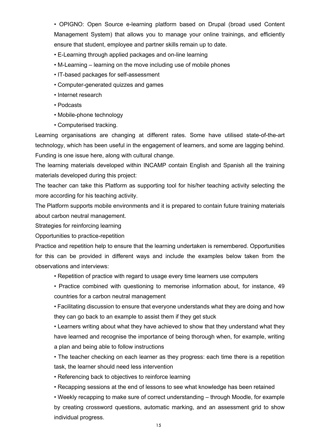• OPIGNO: Open Source e-learning platform based on Drupal (broad used Content Management System) that allows you to manage your online trainings, and efficiently ensure that student, employee and partner skills remain up to date.

- E-Learning through applied packages and on-line learning
- M-Learning learning on the move including use of mobile phones
- IT-based packages for self-assessment
- Computer-generated quizzes and games
- Internet research
- Podcasts
- Mobile-phone technology
- Computerised tracking.

Learning organisations are changing at different rates. Some have utilised state-of-the-art technology, which has been useful in the engagement of learners, and some are lagging behind. Funding is one issue here, along with cultural change.

The learning materials developed within INCAMP contain English and Spanish all the training materials developed during this project:

The teacher can take this Platform as supporting tool for his/her teaching activity selecting the more according for his teaching activity.

The Platform supports mobile environments and it is prepared to contain future training materials about carbon neutral management.

Strategies for reinforcing learning

Opportunities to practice-repetition

Practice and repetition help to ensure that the learning undertaken is remembered. Opportunities for this can be provided in different ways and include the examples below taken from the observations and interviews:

- Repetition of practice with regard to usage every time learners use computers
- Practice combined with questioning to memorise information about, for instance, 49 countries for a carbon neutral management

• Facilitating discussion to ensure that everyone understands what they are doing and how they can go back to an example to assist them if they get stuck

• Learners writing about what they have achieved to show that they understand what they have learned and recognise the importance of being thorough when, for example, writing a plan and being able to follow instructions

• The teacher checking on each learner as they progress: each time there is a repetition task, the learner should need less intervention

• Referencing back to objectives to reinforce learning

• Recapping sessions at the end of lessons to see what knowledge has been retained

• Weekly recapping to make sure of correct understanding – through Moodle, for example by creating crossword questions, automatic marking, and an assessment grid to show individual progress.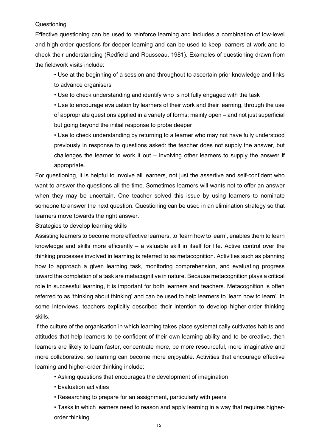#### Questioning

Effective questioning can be used to reinforce learning and includes a combination of low-level and high-order questions for deeper learning and can be used to keep learners at work and to check their understanding (Redfield and Rousseau, 1981). Examples of questioning drawn from the fieldwork visits include:

• Use at the beginning of a session and throughout to ascertain prior knowledge and links to advance organisers

• Use to check understanding and identify who is not fully engaged with the task

• Use to encourage evaluation by learners of their work and their learning, through the use of appropriate questions applied in a variety of forms; mainly open – and not just superficial but going beyond the initial response to probe deeper

• Use to check understanding by returning to a learner who may not have fully understood previously in response to questions asked: the teacher does not supply the answer, but challenges the learner to work it out – involving other learners to supply the answer if appropriate.

For questioning, it is helpful to involve all learners, not just the assertive and self-confident who want to answer the questions all the time. Sometimes learners will wants not to offer an answer when they may be uncertain. One teacher solved this issue by using learners to nominate someone to answer the next question. Questioning can be used in an elimination strategy so that learners move towards the right answer.

Strategies to develop learning skills

Assisting learners to become more effective learners, to 'learn how to learn', enables them to learn knowledge and skills more efficiently – a valuable skill in itself for life. Active control over the thinking processes involved in learning is referred to as metacognition. Activities such as planning how to approach a given learning task, monitoring comprehension, and evaluating progress toward the completion of a task are metacognitive in nature. Because metacognition plays a critical role in successful learning, it is important for both learners and teachers. Metacognition is often referred to as 'thinking about thinking' and can be used to help learners to 'learn how to learn'. In some interviews, teachers explicitly described their intention to develop higher-order thinking skills.

If the culture of the organisation in which learning takes place systematically cultivates habits and attitudes that help learners to be confident of their own learning ability and to be creative, then learners are likely to learn faster, concentrate more, be more resourceful, more imaginative and more collaborative, so learning can become more enjoyable. Activities that encourage effective learning and higher-order thinking include:

- Asking questions that encourages the development of imagination
- Evaluation activities
- Researching to prepare for an assignment, particularly with peers

• Tasks in which learners need to reason and apply learning in a way that requires higherorder thinking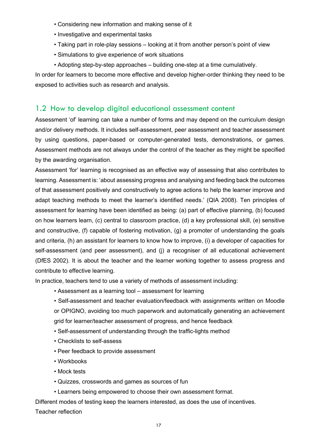- Considering new information and making sense of it
- Investigative and experimental tasks
- Taking part in role-play sessions looking at it from another person's point of view
- Simulations to give experience of work situations
- Adopting step-by-step approaches building one-step at a time cumulatively.

In order for learners to become more effective and develop higher-order thinking they need to be exposed to activities such as research and analysis.

#### 1.2 How to develop digital educational assessment content

Assessment 'of' learning can take a number of forms and may depend on the curriculum design and/or delivery methods. It includes self-assessment, peer assessment and teacher assessment by using questions, paper-based or computer-generated tests, demonstrations, or games. Assessment methods are not always under the control of the teacher as they might be specified by the awarding organisation.

Assessment 'for' learning is recognised as an effective way of assessing that also contributes to learning. Assessment is: 'about assessing progress and analysing and feeding back the outcomes of that assessment positively and constructively to agree actions to help the learner improve and adapt teaching methods to meet the learner's identified needs.' (QIA 2008). Ten principles of assessment for learning have been identified as being: (a) part of effective planning, (b) focused on how learners learn, (c) central to classroom practice, (d) a key professional skill, (e) sensitive and constructive, (f) capable of fostering motivation, (g) a promoter of understanding the goals and criteria, (h) an assistant for learners to know how to improve, (i) a developer of capacities for self-assessment (and peer assessment), and (i) a recogniser of all educational achievement (DfES 2002). It is about the teacher and the learner working together to assess progress and contribute to effective learning.

In practice, teachers tend to use a variety of methods of assessment including:

- Assessment as a learning tool assessment for learning
- Self-assessment and teacher evaluation/feedback with assignments written on Moodle or OPIGNO, avoiding too much paperwork and automatically generating an achievement grid for learner/teacher assessment of progress, and hence feedback
- Self-assessment of understanding through the traffic-lights method
- Checklists to self-assess
- Peer feedback to provide assessment
- Workbooks
- Mock tests
- Quizzes, crosswords and games as sources of fun
- Learners being empowered to choose their own assessment format.

Different modes of testing keep the learners interested, as does the use of incentives. Teacher reflection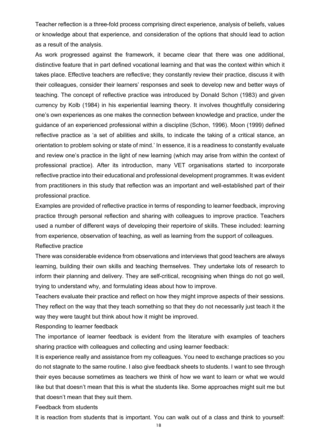Teacher reflection is a three-fold process comprising direct experience, analysis of beliefs, values or knowledge about that experience, and consideration of the options that should lead to action as a result of the analysis.

As work progressed against the framework, it became clear that there was one additional, distinctive feature that in part defined vocational learning and that was the context within which it takes place. Effective teachers are reflective; they constantly review their practice, discuss it with their colleagues, consider their learners' responses and seek to develop new and better ways of teaching. The concept of reflective practice was introduced by Donald Schon (1983) and given currency by Kolb (1984) in his experiential learning theory. It involves thoughtfully considering one's own experiences as one makes the connection between knowledge and practice, under the guidance of an experienced professional within a discipline (Schon, 1996). Moon (1999) defined reflective practice as 'a set of abilities and skills, to indicate the taking of a critical stance, an orientation to problem solving or state of mind.' In essence, it is a readiness to constantly evaluate and review one's practice in the light of new learning (which may arise from within the context of professional practice). After its introduction, many VET organisations started to incorporate reflective practice into their educational and professional development programmes. It was evident from practitioners in this study that reflection was an important and well-established part of their professional practice.

Examples are provided of reflective practice in terms of responding to learner feedback, improving practice through personal reflection and sharing with colleagues to improve practice. Teachers used a number of different ways of developing their repertoire of skills. These included: learning from experience, observation of teaching, as well as learning from the support of colleagues. Reflective practice

There was considerable evidence from observations and interviews that good teachers are always learning, building their own skills and teaching themselves. They undertake lots of research to inform their planning and delivery. They are self-critical, recognising when things do not go well, trying to understand why, and formulating ideas about how to improve.

Teachers evaluate their practice and reflect on how they might improve aspects of their sessions. They reflect on the way that they teach something so that they do not necessarily just teach it the way they were taught but think about how it might be improved.

Responding to learner feedback

The importance of learner feedback is evident from the literature with examples of teachers sharing practice with colleagues and collecting and using learner feedback:

It is experience really and assistance from my colleagues. You need to exchange practices so you do not stagnate to the same routine. I also give feedback sheets to students. I want to see through their eyes because sometimes as teachers we think of how we want to learn or what we would like but that doesn't mean that this is what the students like. Some approaches might suit me but that doesn't mean that they suit them.

Feedback from students

It is reaction from students that is important. You can walk out of a class and think to yourself: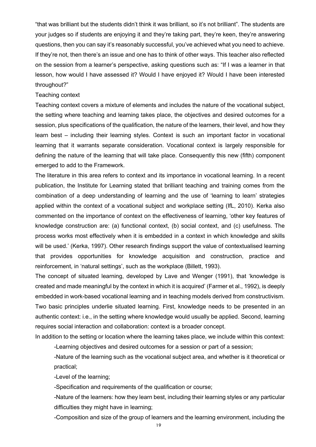"that was brilliant but the students didn't think it was brilliant, so it's not brilliant". The students are your judges so if students are enjoying it and they're taking part, they're keen, they're answering questions, then you can say it's reasonably successful, you've achieved what you need to achieve. If they're not, then there's an issue and one has to think of other ways. This teacher also reflected on the session from a learner's perspective, asking questions such as: "If I was a learner in that lesson, how would I have assessed it? Would I have enjoyed it? Would I have been interested throughout?"

#### Teaching context

Teaching context covers a mixture of elements and includes the nature of the vocational subject, the setting where teaching and learning takes place, the objectives and desired outcomes for a session, plus specifications of the qualification, the nature of the learners, their level, and how they learn best – including their learning styles. Context is such an important factor in vocational learning that it warrants separate consideration. Vocational context is largely responsible for defining the nature of the learning that will take place. Consequently this new (fifth) component emerged to add to the Framework.

The literature in this area refers to context and its importance in vocational learning. In a recent publication, the Institute for Learning stated that brilliant teaching and training comes from the combination of a deep understanding of learning and the use of 'learning to learn' strategies applied within the context of a vocational subject and workplace setting (IfL, 2010). Kerka also commented on the importance of context on the effectiveness of learning, 'other key features of knowledge construction are: (a) functional context, (b) social context, and (c) usefulness. The process works most effectively when it is embedded in a context in which knowledge and skills will be used.' (Kerka, 1997). Other research findings support the value of contextualised learning that provides opportunities for knowledge acquisition and construction, practice and reinforcement, in 'natural settings', such as the workplace (Billett, 1993).

The concept of situated learning, developed by Lave and Wenger (1991), that 'knowledge is created and made meaningful by the context in which it is acquired' (Farmer et al., 1992), is deeply embedded in work-based vocational learning and in teaching models derived from constructivism. Two basic principles underlie situated learning. First, knowledge needs to be presented in an authentic context: i.e., in the setting where knowledge would usually be applied. Second, learning requires social interaction and collaboration: context is a broader concept.

In addition to the setting or location where the learning takes place, we include within this context: -Learning objectives and desired outcomes for a session or part of a session;

-Nature of the learning such as the vocational subject area, and whether is it theoretical or practical;

-Level of the learning;

-Specification and requirements of the qualification or course;

-Nature of the learners: how they learn best, including their learning styles or any particular difficulties they might have in learning;

-Composition and size of the group of learners and the learning environment, including the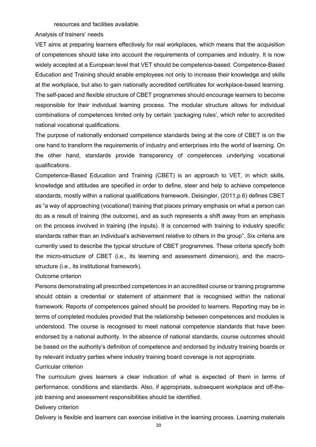resources and facilities available.

Analysis of trainers' needs

VET aims at preparing learners effectively for real workplaces, which means that the acquisition of competences should take into account the requirements of companies and industry. It is now widely accepted at a European level that VET should be competence-based. Competence-Based Education and Training should enable employees not only to increase their knowledge and skills at the workplace, but also to gain nationally accredited certificates for workplace-based learning. The self-paced and flexible structure of CBET programmes should encourage learners to become responsible for their individual learning process. The modular structure allows for individual combinations of competences limited only by certain 'packaging rules', which refer to accredited national vocational qualifications.

The purpose of nationally endorsed competence standards being at the core of CBET is on the one hand to transform the requirements of industry and enterprises into the world of learning. On the other hand, standards provide transparency of competences underlying vocational qualifications.

Competence-Based Education and Training (CBET) is an approach to VET, in which skills, knowledge and attitudes are specified in order to define, steer and help to achieve competence standards, mostly within a national qualifications framework. Deisingler, (2011,p.6) defines CBET as "a way of approaching (vocational) training that places primary emphasis on what a person can do as a result of training (the outcome), and as such represents a shift away from an emphasis on the process involved in training (the inputs). It is concerned with training to industry specific standards rather than an individual's achievement relative to others in the group". Six criteria are currently used to describe the typical structure of CBET programmes. These criteria specify both the micro-structure of CBET (i.e., its learning and assessment dimension), and the macrostructure (i.e., its institutional framework).

Outcome criterion

Persons demonstrating all prescribed competences in an accredited course or training programme should obtain a credential or statement of attainment that is recognised within the national framework. Reports of competences gained should be provided to learners. Reporting may be in terms of completed modules provided that the relationship between competences and modules is understood. The course is recognised to meet national competence standards that have been endorsed by a national authority. In the absence of national standards, course outcomes should be based on the authority's definition of competence and endorsed by industry training boards or by relevant industry parties where industry training board coverage is not appropriate.

Curricular criterion

The curriculum gives learners a clear indication of what is expected of them in terms of performance, conditions and standards. Also, if appropriate, subsequent workplace and off-thejob training and assessment responsibilities should be identified.

Delivery criterion

Delivery is flexible and learners can exercise initiative in the learning process. Learning materials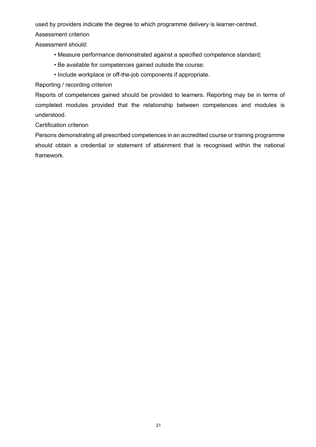used by providers indicate the degree to which programme delivery is learner-centred.

Assessment criterion

Assessment should:

- Measure performance demonstrated against a specified competence standard;
- Be available for competences gained outside the course;
- Include workplace or off-the-job components if appropriate.

Reporting / recording criterion

Reports of competences gained should be provided to learners. Reporting may be in terms of completed modules provided that the relationship between competences and modules is understood.

Certification criterion

Persons demonstrating all prescribed competences in an accredited course or training programme should obtain a credential or statement of attainment that is recognised within the national framework.